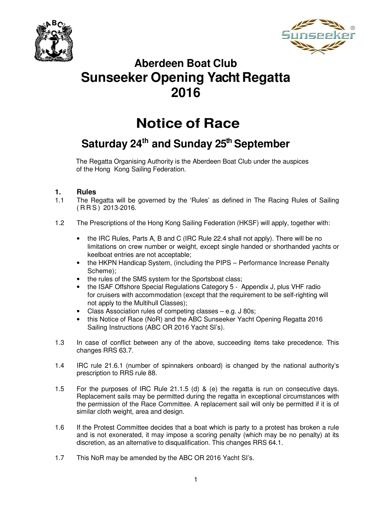



# **Aberdeen Boat Club Sunseeker Opening Yacht Regatta 2016**

# **Notice of Race**

# **Saturday 24th and Sunday 25th September**

The Regatta Organising Authority is the Aberdeen Boat Club under the auspices of the Hong Kong Sailing Federation.

# **1. Rules**

- 1.1 The Regatta will be governed by the 'Rules' as defined in The Racing Rules of Sailing ( R R S ) 2013-2016.
- 1.2 The Prescriptions of the Hong Kong Sailing Federation (HKSF) will apply, together with:
	- the IRC Rules, Parts A, B and C (IRC Rule 22.4 shall not apply). There will be no limitations on crew number or weight, except single handed or shorthanded yachts or keelboat entries are not acceptable;
	- the HKPN Handicap System, (including the PIPS Performance Increase Penalty Scheme);
	- the rules of the SMS system for the Sportsboat class;
	- the ISAF Offshore Special Regulations Category 5 Appendix J, plus VHF radio for cruisers with accommodation (except that the requirement to be self-righting will not apply to the Multihull Classes);
	- Class Association rules of competing classes e.g. J 80s;
	- this Notice of Race (NoR) and the ABC Sunseeker Yacht Opening Regatta 2016 Sailing Instructions (ABC OR 2016 Yacht SI's).
- 1.3 In case of conflict between any of the above, succeeding items take precedence. This changes RRS 63.7.
- 1.4 IRC rule 21.6.1 (number of spinnakers onboard) is changed by the national authority's prescription to RRS rule 88.
- 1.5 For the purposes of IRC Rule 21.1.5 (d) & (e) the regatta is run on consecutive days. Replacement sails may be permitted during the regatta in exceptional circumstances with the permission of the Race Committee. A replacement sail will only be permitted if it is of similar cloth weight, area and design.
- 1.6 If the Protest Committee decides that a boat which is party to a protest has broken a rule and is not exonerated, it may impose a scoring penalty (which may be no penalty) at its discretion, as an alternative to disqualification. This changes RRS 64.1.
- 1.7 This NoR may be amended by the ABC OR 2016 Yacht SI's.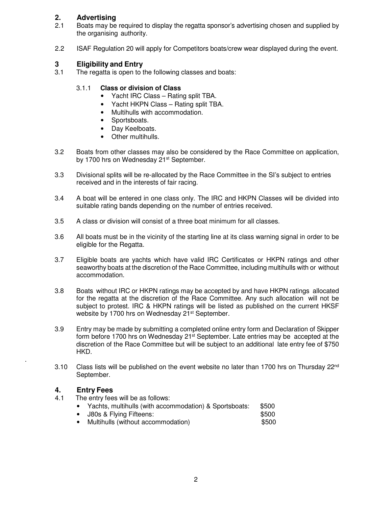# **2. Advertising**

- 2.1 Boats may be required to display the regatta sponsor's advertising chosen and supplied by the organising authority.
- 2.2 ISAF Regulation 20 will apply for Competitors boats/crew wear displayed during the event.

# **3 Eligibility and Entry**<br>**3.1** The regatta is open to t

The regatta is open to the following classes and boats:

### 3.1.1 **Class or division of Class**

- Yacht IRC Class Rating split TBA.
- Yacht HKPN Class Rating split TBA.
- Multihulls with accommodation.
- Sportsboats.
- Day Keelboats.
- Other multihulls.
- 3.2 Boats from other classes may also be considered by the Race Committee on application, by 1700 hrs on Wednesday 21<sup>st</sup> September.
- 3.3 Divisional splits will be re-allocated by the Race Committee in the SI's subject to entries received and in the interests of fair racing.
- 3.4 A boat will be entered in one class only. The IRC and HKPN Classes will be divided into suitable rating bands depending on the number of entries received.
- 3.5 A class or division will consist of a three boat minimum for all classes.
- 3.6 All boats must be in the vicinity of the starting line at its class warning signal in order to be eligible for the Regatta.
- 3.7 Eligible boats are yachts which have valid IRC Certificates or HKPN ratings and other seaworthy boats at the discretion of the Race Committee, including multihulls with or without accommodation.
- 3.8 Boats without IRC or HKPN ratings may be accepted by and have HKPN ratings allocated for the regatta at the discretion of the Race Committee. Any such allocation will not be subject to protest. IRC & HKPN ratings will be listed as published on the current HKSF website by 1700 hrs on Wednesday 21<sup>st</sup> September.
- 3.9 Entry may be made by submitting a completed online entry form and Declaration of Skipper form before 1700 hrs on Wednesday  $21^{st}$  September. Late entries may be accepted at the discretion of the Race Committee but will be subject to an additional late entry fee of \$750 HKD.
- 3.10 Class lists will be published on the event website no later than 1700 hrs on Thursday 22<sup>nd</sup> September.

# **4. Entry Fees**

.

- The entry fees will be as follows:
	- Yachts, multihulls (with accommodation) & Sportsboats: \$500
	- **J80s & Flying Fifteens:**  $$500$
	- Multihulls (without accommodation) \$500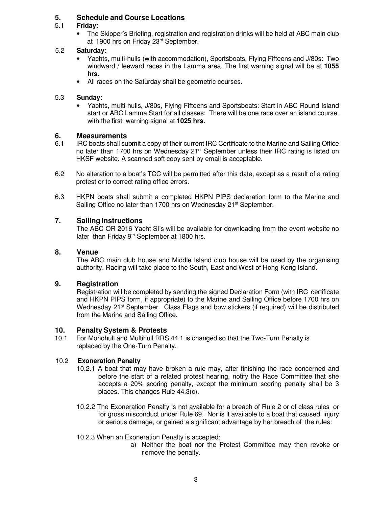# **5. Schedule and Course Locations**

# 5.1 **Friday:**

• The Skipper's Briefing, registration and registration drinks will be held at ABC main club at 1900 hrs on Friday 23rd September.

# 5.2 **Saturday:**

- Yachts, multi-hulls (with accommodation), Sportsboats, Flying Fifteens and J/80s: Two windward / leeward races in the Lamma area. The first warning signal will be at **1055 hrs.**
- All races on the Saturday shall be geometric courses.

### 5.3 **Sunday:**

• Yachts, multi-hulls, J/80s, Flying Fifteens and Sportsboats: Start in ABC Round Island start or ABC Lamma Start for all classes: There will be one race over an island course, with the first warning signal at **1025 hrs.** 

# **6. Measurements**

- 6.1 IRC boats shall submit a copy of their current IRC Certificate to the Marine and Sailing Office no later than 1700 hrs on Wednesday 21<sup>st</sup> September unless their IRC rating is listed on HKSF website. A scanned soft copy sent by email is acceptable.
- 6.2 No alteration to a boat's TCC will be permitted after this date, except as a result of a rating protest or to correct rating office errors.
- 6.3 HKPN boats shall submit a completed HKPN PIPS declaration form to the Marine and Sailing Office no later than 1700 hrs on Wednesday 21<sup>st</sup> September.

### **7. Sailing Instructions**

The ABC OR 2016 Yacht SI's will be available for downloading from the event website no later than Friday 9<sup>th</sup> September at 1800 hrs.

### **8. Venue**

The ABC main club house and Middle Island club house will be used by the organising authority. Racing will take place to the South, East and West of Hong Kong Island.

### **9. Registration**

Registration will be completed by sending the signed Declaration Form (with IRC certificate and HKPN PIPS form, if appropriate) to the Marine and Sailing Office before 1700 hrs on Wednesday 21<sup>st</sup> September. Class Flags and bow stickers (if required) will be distributed from the Marine and Sailing Office.

### **10. Penalty System & Protests**

10.1 For Monohull and Multihull RRS 44.1 is changed so that the Two-Turn Penalty is replaced by the One-Turn Penalty.

### 10.2 **Exoneration Penalty**

- 10.2.1 A boat that may have broken a rule may, after finishing the race concerned and before the start of a related protest hearing, notify the Race Committee that she accepts a 20% scoring penalty, except the minimum scoring penalty shall be 3 places. This changes Rule 44.3(c).
- 10.2.2 The Exoneration Penalty is not available for a breach of Rule 2 or of class rules or for gross misconduct under Rule 69. Nor is it available to a boat that caused injury or serious damage, or gained a significant advantage by her breach of the rules:
- 10.2.3 When an Exoneration Penalty is accepted:
	- a) Neither the boat nor the Protest Committee may then revoke or r emove the penalty.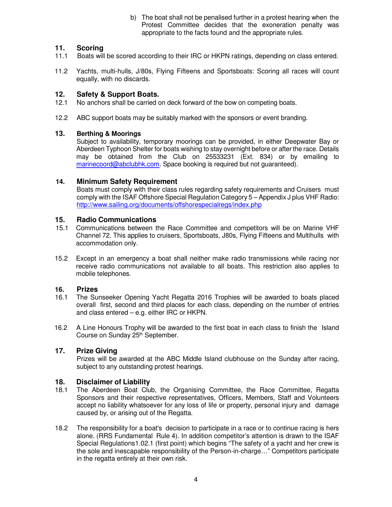b) The boat shall not be penalised further in a protest hearing when the Protest Committee decides that the exoneration penalty was appropriate to the facts found and the appropriate rules.

## **11. Scoring**

- 11.1 Boats will be scored according to their IRC or HKPN ratings, depending on class entered.
- 11.2 Yachts, multi-hulls, J/80s, Flying Fifteens and Sportsboats: Scoring all races will count equally, with no discards.

# **12.** Safety & Support Boats.<br>12.1 No anchors shall be carried of

- No anchors shall be carried on deck forward of the bow on competing boats.
- 12.2 ABC support boats may be suitably marked with the sponsors or event branding.

### **13. Berthing & Moorings**

 Subject to availability, temporary moorings can be provided, in either Deepwater Bay or Aberdeen Typhoon Shelter for boats wishing to stay overnight before or after the race. Details may be obtained from the Club on 25533231 (Ext. 834) or by emailing to marinecoord@abclubhk.com. Space booking is required but not guaranteed).

### **14. Minimum Safety Requirement**

 Boats must comply with their class rules regarding safety requirements and Cruisers must comply with the ISAF Offshore Special Regulation Category 5 – Appendix J plus VHF Radio: http://www.sailing.org/documents/offshorespecialregs/index.php

### **15. Radio Communications**

- 15.1 Communications between the Race Committee and competitors will be on Marine VHF Channel 72. This applies to cruisers, Sportsboats, J80s, Flying Fifteens and Multihulls with accommodation only.
- 15.2 Except in an emergency a boat shall neither make radio transmissions while racing nor receive radio communications not available to all boats. This restriction also applies to mobile telephones.

### **16. Prizes**

- 16.1 The Sunseeker Opening Yacht Regatta 2016 Trophies will be awarded to boats placed overall first, second and third places for each class, depending on the number of entries and class entered – e.g. either IRC or HKPN.
- 16.2 A Line Honours Trophy will be awarded to the first boat in each class to finish the Island Course on Sunday 25<sup>th</sup> September.

# **17. Prize Giving**

Prizes will be awarded at the ABC Middle Island clubhouse on the Sunday after racing, subject to any outstanding protest hearings.

### **18. Disclaimer of Liability**

- 18.1 The Aberdeen Boat Club, the Organising Committee, the Race Committee, Regatta Sponsors and their respective representatives, Officers, Members, Staff and Volunteers accept no liability whatsoever for any loss of life or property, personal injury and damage caused by, or arising out of the Regatta.
- 18.2 The responsibility for a boat's decision to participate in a race or to continue racing is hers alone. (RRS Fundamental Rule 4). In addition competitor's attention is drawn to the ISAF Special Regulations1.02.1 (first point) which begins "The safety of a yacht and her crew is the sole and inescapable responsibility of the Person-in-charge…" Competitors participate in the regatta entirely at their own risk.